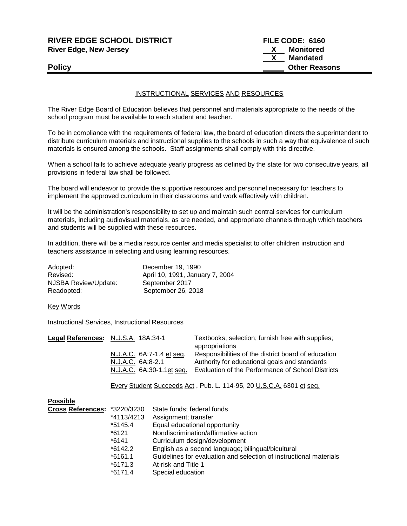| <b>RIVER EDGE SCHOOL DISTRICT</b> | FILE CODE: 6160 |                      |
|-----------------------------------|-----------------|----------------------|
| <b>River Edge, New Jersey</b>     | X.              | Monitored            |
|                                   |                 | Mandated             |
| <b>Policy</b>                     |                 | <b>Other Reasons</b> |
|                                   |                 |                      |

## INSTRUCTIONAL SERVICES AND RESOURCES

The River Edge Board of Education believes that personnel and materials appropriate to the needs of the school program must be available to each student and teacher.

To be in compliance with the requirements of federal law, the board of education directs the superintendent to distribute curriculum materials and instructional supplies to the schools in such a way that equivalence of such materials is ensured among the schools. Staff assignments shall comply with this directive.

When a school fails to achieve adequate yearly progress as defined by the state for two consecutive years, all provisions in federal law shall be followed.

The board will endeavor to provide the supportive resources and personnel necessary for teachers to implement the approved curriculum in their classrooms and work effectively with children.

It will be the administration's responsibility to set up and maintain such central services for curriculum materials, including audiovisual materials, as are needed, and appropriate channels through which teachers and students will be supplied with these resources.

In addition, there will be a media resource center and media specialist to offer children instruction and teachers assistance in selecting and using learning resources.

| Adopted:             | December 19, 1990               |
|----------------------|---------------------------------|
| Revised:             | April 10, 1991, January 7, 2004 |
| NJSBA Review/Update: | September 2017                  |
| Readopted:           | September 26, 2018              |

Key Words

Instructional Services, Instructional Resources

| Legal References: N.J.S.A. 18A:34-1 |                           | Textbooks; selection; furnish free with supplies;   |
|-------------------------------------|---------------------------|-----------------------------------------------------|
|                                     |                           | appropriations                                      |
|                                     | N.J.A.C. 6A:7-1.4 et seq. | Responsibilities of the district board of education |
|                                     | N.J.A.C. 6A:8-2.1         | Authority for educational goals and standards       |
|                                     | N.J.A.C. 6A:30-1.1et sea. | Evaluation of the Performance of School Districts   |
|                                     |                           |                                                     |

Every Student Succeeds Act , Pub. L. 114-95, 20 U.S.C.A. 6301 et seq.

| Cross References: *3220/3230 | State funds; federal funds                                         |
|------------------------------|--------------------------------------------------------------------|
| *4113/4213                   | Assignment; transfer                                               |
| $*5145.4$                    | Equal educational opportunity                                      |
| *6121                        | Nondiscrimination/affirmative action                               |
| *6141                        | Curriculum design/development                                      |
| $*6142.2$                    | English as a second language; bilingual/bicultural                 |
| $*6161.1$                    | Guidelines for evaluation and selection of instructional materials |
| $*6171.3$                    | At-risk and Title 1                                                |
| $*6171.4$                    | Special education                                                  |
|                              |                                                                    |